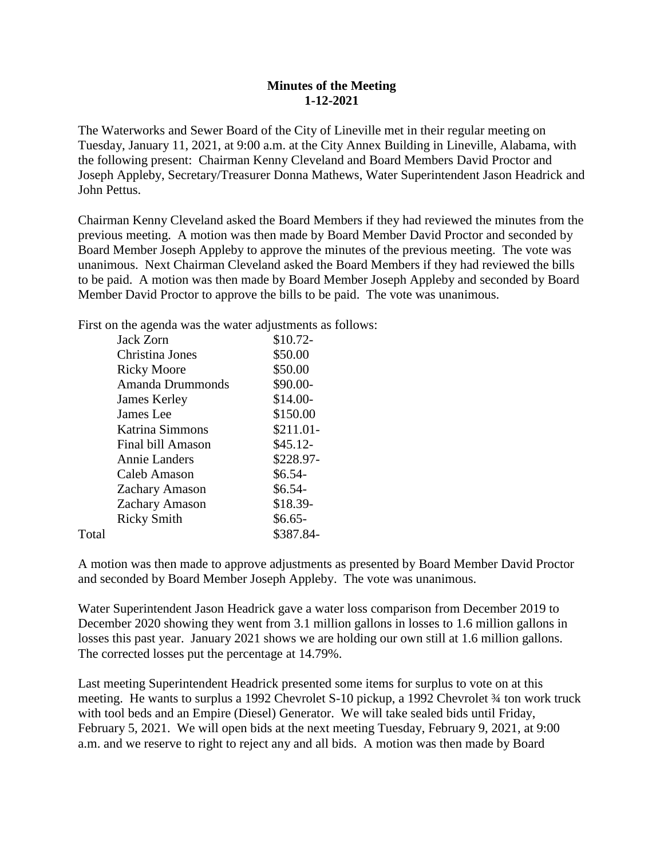## **Minutes of the Meeting 1-12-2021**

The Waterworks and Sewer Board of the City of Lineville met in their regular meeting on Tuesday, January 11, 2021, at 9:00 a.m. at the City Annex Building in Lineville, Alabama, with the following present: Chairman Kenny Cleveland and Board Members David Proctor and Joseph Appleby, Secretary/Treasurer Donna Mathews, Water Superintendent Jason Headrick and John Pettus.

Chairman Kenny Cleveland asked the Board Members if they had reviewed the minutes from the previous meeting. A motion was then made by Board Member David Proctor and seconded by Board Member Joseph Appleby to approve the minutes of the previous meeting. The vote was unanimous. Next Chairman Cleveland asked the Board Members if they had reviewed the bills to be paid. A motion was then made by Board Member Joseph Appleby and seconded by Board Member David Proctor to approve the bills to be paid. The vote was unanimous.

First on the agenda was the water adjustments as follows:

|       | Jack Zorn               | $$10.72-$  |
|-------|-------------------------|------------|
|       | Christina Jones         | \$50.00    |
|       | <b>Ricky Moore</b>      | \$50.00    |
|       | <b>Amanda Drummonds</b> | \$90.00-   |
|       | James Kerley            | $$14.00-$  |
|       | James Lee               | \$150.00   |
|       | Katrina Simmons         | $$211.01-$ |
|       | Final bill Amason       | $$45.12-$  |
|       | <b>Annie Landers</b>    | \$228.97-  |
|       | Caleb Amason            | $$6.54-$   |
|       | <b>Zachary Amason</b>   | $$6.54-$   |
|       | <b>Zachary Amason</b>   | \$18.39-   |
|       | <b>Ricky Smith</b>      | $$6.65-$   |
| Total |                         | \$387.84-  |

A motion was then made to approve adjustments as presented by Board Member David Proctor and seconded by Board Member Joseph Appleby. The vote was unanimous.

Water Superintendent Jason Headrick gave a water loss comparison from December 2019 to December 2020 showing they went from 3.1 million gallons in losses to 1.6 million gallons in losses this past year. January 2021 shows we are holding our own still at 1.6 million gallons. The corrected losses put the percentage at 14.79%.

Last meeting Superintendent Headrick presented some items for surplus to vote on at this meeting. He wants to surplus a 1992 Chevrolet S-10 pickup, a 1992 Chevrolet  $\frac{3}{4}$  ton work truck with tool beds and an Empire (Diesel) Generator. We will take sealed bids until Friday, February 5, 2021. We will open bids at the next meeting Tuesday, February 9, 2021, at 9:00 a.m. and we reserve to right to reject any and all bids. A motion was then made by Board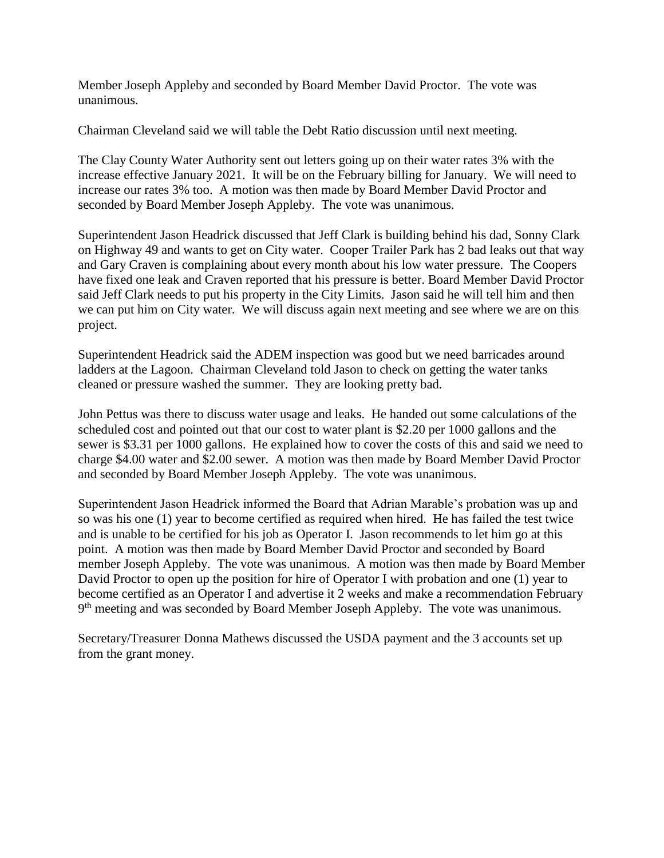Member Joseph Appleby and seconded by Board Member David Proctor. The vote was unanimous.

Chairman Cleveland said we will table the Debt Ratio discussion until next meeting.

The Clay County Water Authority sent out letters going up on their water rates 3% with the increase effective January 2021. It will be on the February billing for January. We will need to increase our rates 3% too. A motion was then made by Board Member David Proctor and seconded by Board Member Joseph Appleby. The vote was unanimous.

Superintendent Jason Headrick discussed that Jeff Clark is building behind his dad, Sonny Clark on Highway 49 and wants to get on City water. Cooper Trailer Park has 2 bad leaks out that way and Gary Craven is complaining about every month about his low water pressure. The Coopers have fixed one leak and Craven reported that his pressure is better. Board Member David Proctor said Jeff Clark needs to put his property in the City Limits. Jason said he will tell him and then we can put him on City water. We will discuss again next meeting and see where we are on this project.

Superintendent Headrick said the ADEM inspection was good but we need barricades around ladders at the Lagoon. Chairman Cleveland told Jason to check on getting the water tanks cleaned or pressure washed the summer. They are looking pretty bad.

John Pettus was there to discuss water usage and leaks. He handed out some calculations of the scheduled cost and pointed out that our cost to water plant is \$2.20 per 1000 gallons and the sewer is \$3.31 per 1000 gallons. He explained how to cover the costs of this and said we need to charge \$4.00 water and \$2.00 sewer. A motion was then made by Board Member David Proctor and seconded by Board Member Joseph Appleby. The vote was unanimous.

Superintendent Jason Headrick informed the Board that Adrian Marable's probation was up and so was his one (1) year to become certified as required when hired. He has failed the test twice and is unable to be certified for his job as Operator I. Jason recommends to let him go at this point. A motion was then made by Board Member David Proctor and seconded by Board member Joseph Appleby. The vote was unanimous. A motion was then made by Board Member David Proctor to open up the position for hire of Operator I with probation and one (1) year to become certified as an Operator I and advertise it 2 weeks and make a recommendation February 9<sup>th</sup> meeting and was seconded by Board Member Joseph Appleby. The vote was unanimous.

Secretary/Treasurer Donna Mathews discussed the USDA payment and the 3 accounts set up from the grant money.